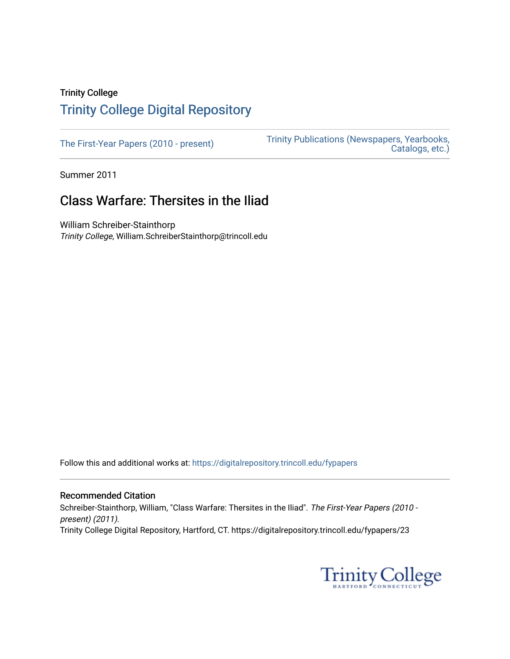## Trinity College [Trinity College Digital Repository](https://digitalrepository.trincoll.edu/)

[The First-Year Papers \(2010 - present\)](https://digitalrepository.trincoll.edu/fypapers) Trinity Publications (Newspapers, Yearbooks, [Catalogs, etc.\)](https://digitalrepository.trincoll.edu/publications) 

Summer 2011

# Class Warfare: Thersites in the Iliad

William Schreiber-Stainthorp Trinity College, William.SchreiberStainthorp@trincoll.edu

Follow this and additional works at: [https://digitalrepository.trincoll.edu/fypapers](https://digitalrepository.trincoll.edu/fypapers?utm_source=digitalrepository.trincoll.edu%2Ffypapers%2F23&utm_medium=PDF&utm_campaign=PDFCoverPages)

#### Recommended Citation

Schreiber-Stainthorp, William, "Class Warfare: Thersites in the Iliad". The First-Year Papers (2010 present) (2011). Trinity College Digital Repository, Hartford, CT. https://digitalrepository.trincoll.edu/fypapers/23

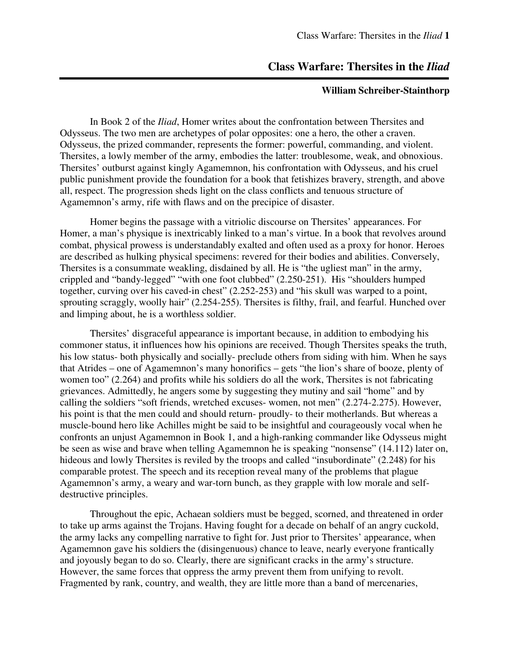### **Class Warfare: Thersites in the** *Iliad*

### **William Schreiber-Stainthorp**

In Book 2 of the *Iliad*, Homer writes about the confrontation between Thersites and Odysseus. The two men are archetypes of polar opposites: one a hero, the other a craven. Odysseus, the prized commander, represents the former: powerful, commanding, and violent. Thersites, a lowly member of the army, embodies the latter: troublesome, weak, and obnoxious. Thersites' outburst against kingly Agamemnon, his confrontation with Odysseus, and his cruel public punishment provide the foundation for a book that fetishizes bravery, strength, and above all, respect. The progression sheds light on the class conflicts and tenuous structure of Agamemnon's army, rife with flaws and on the precipice of disaster.

 Homer begins the passage with a vitriolic discourse on Thersites' appearances. For Homer, a man's physique is inextricably linked to a man's virtue. In a book that revolves around combat, physical prowess is understandably exalted and often used as a proxy for honor. Heroes are described as hulking physical specimens: revered for their bodies and abilities. Conversely, Thersites is a consummate weakling, disdained by all. He is "the ugliest man" in the army, crippled and "bandy-legged" "with one foot clubbed" (2.250-251). His "shoulders humped together, curving over his caved-in chest" (2.252-253) and "his skull was warped to a point, sprouting scraggly, woolly hair" (2.254-255). Thersites is filthy, frail, and fearful. Hunched over and limping about, he is a worthless soldier.

 Thersites' disgraceful appearance is important because, in addition to embodying his commoner status, it influences how his opinions are received. Though Thersites speaks the truth, his low status- both physically and socially- preclude others from siding with him. When he says that Atrides – one of Agamemnon's many honorifics – gets "the lion's share of booze, plenty of women too" (2.264) and profits while his soldiers do all the work, Thersites is not fabricating grievances. Admittedly, he angers some by suggesting they mutiny and sail "home" and by calling the soldiers "soft friends, wretched excuses- women, not men" (2.274-2.275). However, his point is that the men could and should return- proudly- to their motherlands. But whereas a muscle-bound hero like Achilles might be said to be insightful and courageously vocal when he confronts an unjust Agamemnon in Book 1, and a high-ranking commander like Odysseus might be seen as wise and brave when telling Agamemnon he is speaking "nonsense" (14.112) later on, hideous and lowly Thersites is reviled by the troops and called "insubordinate" (2.248) for his comparable protest. The speech and its reception reveal many of the problems that plague Agamemnon's army, a weary and war-torn bunch, as they grapple with low morale and selfdestructive principles.

 Throughout the epic, Achaean soldiers must be begged, scorned, and threatened in order to take up arms against the Trojans. Having fought for a decade on behalf of an angry cuckold, the army lacks any compelling narrative to fight for. Just prior to Thersites' appearance, when Agamemnon gave his soldiers the (disingenuous) chance to leave, nearly everyone frantically and joyously began to do so. Clearly, there are significant cracks in the army's structure. However, the same forces that oppress the army prevent them from unifying to revolt. Fragmented by rank, country, and wealth, they are little more than a band of mercenaries,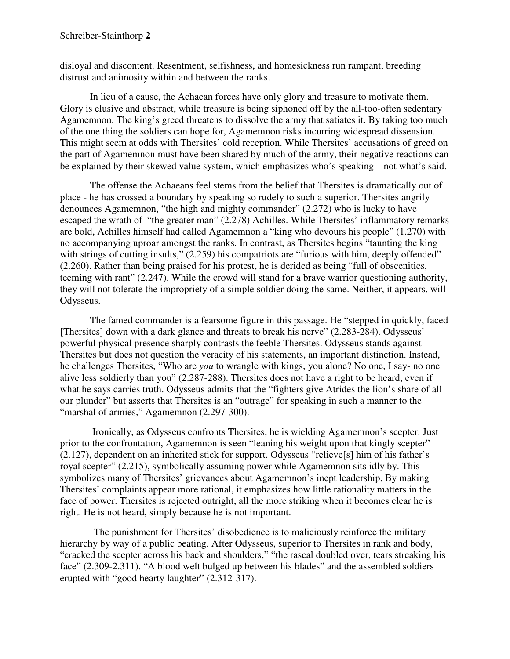disloyal and discontent. Resentment, selfishness, and homesickness run rampant, breeding distrust and animosity within and between the ranks.

In lieu of a cause, the Achaean forces have only glory and treasure to motivate them. Glory is elusive and abstract, while treasure is being siphoned off by the all-too-often sedentary Agamemnon. The king's greed threatens to dissolve the army that satiates it. By taking too much of the one thing the soldiers can hope for, Agamemnon risks incurring widespread dissension. This might seem at odds with Thersites' cold reception. While Thersites' accusations of greed on the part of Agamemnon must have been shared by much of the army, their negative reactions can be explained by their skewed value system, which emphasizes who's speaking – not what's said.

The offense the Achaeans feel stems from the belief that Thersites is dramatically out of place - he has crossed a boundary by speaking so rudely to such a superior. Thersites angrily denounces Agamemnon, "the high and mighty commander" (2.272) who is lucky to have escaped the wrath of "the greater man" (2.278) Achilles. While Thersites' inflammatory remarks are bold, Achilles himself had called Agamemnon a "king who devours his people" (1.270) with no accompanying uproar amongst the ranks. In contrast, as Thersites begins "taunting the king with strings of cutting insults," (2.259) his compatriots are "furious with him, deeply offended" (2.260). Rather than being praised for his protest, he is derided as being "full of obscenities, teeming with rant" (2.247). While the crowd will stand for a brave warrior questioning authority, they will not tolerate the impropriety of a simple soldier doing the same. Neither, it appears, will Odysseus.

The famed commander is a fearsome figure in this passage. He "stepped in quickly, faced [Thersites] down with a dark glance and threats to break his nerve" (2.283-284). Odysseus' powerful physical presence sharply contrasts the feeble Thersites. Odysseus stands against Thersites but does not question the veracity of his statements, an important distinction. Instead, he challenges Thersites, "Who are *you* to wrangle with kings, you alone? No one, I say- no one alive less soldierly than you" (2.287-288). Thersites does not have a right to be heard, even if what he says carries truth. Odysseus admits that the "fighters give Atrides the lion's share of all our plunder" but asserts that Thersites is an "outrage" for speaking in such a manner to the "marshal of armies," Agamemnon (2.297-300).

 Ironically, as Odysseus confronts Thersites, he is wielding Agamemnon's scepter. Just prior to the confrontation, Agamemnon is seen "leaning his weight upon that kingly scepter" (2.127), dependent on an inherited stick for support. Odysseus "relieve[s] him of his father's royal scepter" (2.215), symbolically assuming power while Agamemnon sits idly by. This symbolizes many of Thersites' grievances about Agamemnon's inept leadership. By making Thersites' complaints appear more rational, it emphasizes how little rationality matters in the face of power. Thersites is rejected outright, all the more striking when it becomes clear he is right. He is not heard, simply because he is not important.

The punishment for Thersites' disobedience is to maliciously reinforce the military hierarchy by way of a public beating. After Odysseus, superior to Thersites in rank and body, "cracked the scepter across his back and shoulders," "the rascal doubled over, tears streaking his face" (2.309-2.311). "A blood welt bulged up between his blades" and the assembled soldiers erupted with "good hearty laughter" (2.312-317).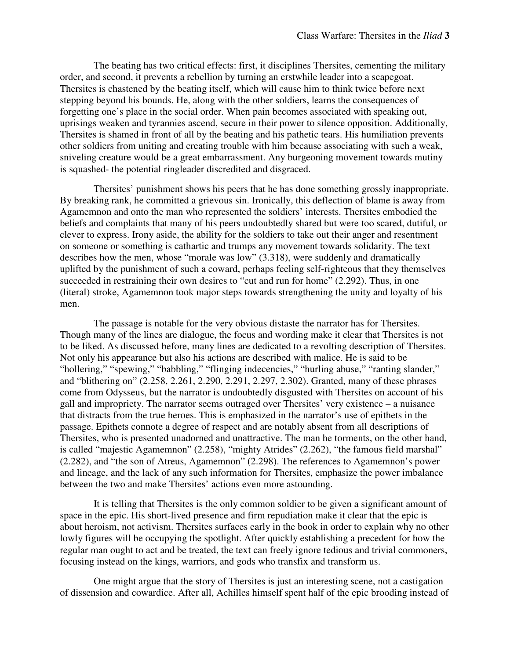The beating has two critical effects: first, it disciplines Thersites, cementing the military order, and second, it prevents a rebellion by turning an erstwhile leader into a scapegoat. Thersites is chastened by the beating itself, which will cause him to think twice before next stepping beyond his bounds. He, along with the other soldiers, learns the consequences of forgetting one's place in the social order. When pain becomes associated with speaking out, uprisings weaken and tyrannies ascend, secure in their power to silence opposition. Additionally, Thersites is shamed in front of all by the beating and his pathetic tears. His humiliation prevents other soldiers from uniting and creating trouble with him because associating with such a weak, sniveling creature would be a great embarrassment. Any burgeoning movement towards mutiny is squashed- the potential ringleader discredited and disgraced.

Thersites' punishment shows his peers that he has done something grossly inappropriate. By breaking rank, he committed a grievous sin. Ironically, this deflection of blame is away from Agamemnon and onto the man who represented the soldiers' interests. Thersites embodied the beliefs and complaints that many of his peers undoubtedly shared but were too scared, dutiful, or clever to express. Irony aside, the ability for the soldiers to take out their anger and resentment on someone or something is cathartic and trumps any movement towards solidarity. The text describes how the men, whose "morale was low" (3.318), were suddenly and dramatically uplifted by the punishment of such a coward, perhaps feeling self-righteous that they themselves succeeded in restraining their own desires to "cut and run for home" (2.292). Thus, in one (literal) stroke, Agamemnon took major steps towards strengthening the unity and loyalty of his men.

The passage is notable for the very obvious distaste the narrator has for Thersites. Though many of the lines are dialogue, the focus and wording make it clear that Thersites is not to be liked. As discussed before, many lines are dedicated to a revolting description of Thersites. Not only his appearance but also his actions are described with malice. He is said to be "hollering," "spewing," "babbling," "flinging indecencies," "hurling abuse," "ranting slander," and "blithering on" (2.258, 2.261, 2.290, 2.291, 2.297, 2.302). Granted, many of these phrases come from Odysseus, but the narrator is undoubtedly disgusted with Thersites on account of his gall and impropriety. The narrator seems outraged over Thersites' very existence – a nuisance that distracts from the true heroes. This is emphasized in the narrator's use of epithets in the passage. Epithets connote a degree of respect and are notably absent from all descriptions of Thersites, who is presented unadorned and unattractive. The man he torments, on the other hand, is called "majestic Agamemnon" (2.258), "mighty Atrides" (2.262), "the famous field marshal" (2.282), and "the son of Atreus, Agamemnon" (2.298). The references to Agamemnon's power and lineage, and the lack of any such information for Thersites, emphasize the power imbalance between the two and make Thersites' actions even more astounding.

It is telling that Thersites is the only common soldier to be given a significant amount of space in the epic. His short-lived presence and firm repudiation make it clear that the epic is about heroism, not activism. Thersites surfaces early in the book in order to explain why no other lowly figures will be occupying the spotlight. After quickly establishing a precedent for how the regular man ought to act and be treated, the text can freely ignore tedious and trivial commoners, focusing instead on the kings, warriors, and gods who transfix and transform us.

One might argue that the story of Thersites is just an interesting scene, not a castigation of dissension and cowardice. After all, Achilles himself spent half of the epic brooding instead of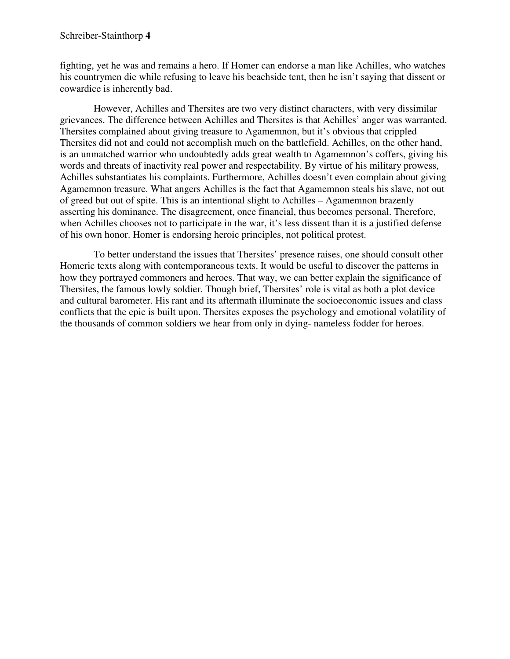fighting, yet he was and remains a hero. If Homer can endorse a man like Achilles, who watches his countrymen die while refusing to leave his beachside tent, then he isn't saying that dissent or cowardice is inherently bad.

However, Achilles and Thersites are two very distinct characters, with very dissimilar grievances. The difference between Achilles and Thersites is that Achilles' anger was warranted. Thersites complained about giving treasure to Agamemnon, but it's obvious that crippled Thersites did not and could not accomplish much on the battlefield. Achilles, on the other hand, is an unmatched warrior who undoubtedly adds great wealth to Agamemnon's coffers, giving his words and threats of inactivity real power and respectability. By virtue of his military prowess, Achilles substantiates his complaints. Furthermore, Achilles doesn't even complain about giving Agamemnon treasure. What angers Achilles is the fact that Agamemnon steals his slave, not out of greed but out of spite. This is an intentional slight to Achilles – Agamemnon brazenly asserting his dominance. The disagreement, once financial, thus becomes personal. Therefore, when Achilles chooses not to participate in the war, it's less dissent than it is a justified defense of his own honor. Homer is endorsing heroic principles, not political protest.

To better understand the issues that Thersites' presence raises, one should consult other Homeric texts along with contemporaneous texts. It would be useful to discover the patterns in how they portrayed commoners and heroes. That way, we can better explain the significance of Thersites, the famous lowly soldier. Though brief, Thersites' role is vital as both a plot device and cultural barometer. His rant and its aftermath illuminate the socioeconomic issues and class conflicts that the epic is built upon. Thersites exposes the psychology and emotional volatility of the thousands of common soldiers we hear from only in dying- nameless fodder for heroes.